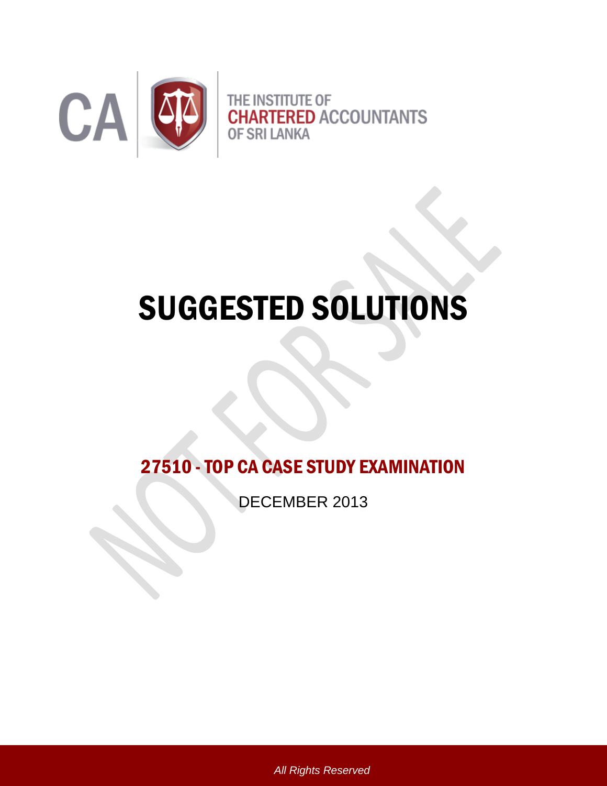

# SUGGESTED SOLUTIONS

27510 -TOP CA CASE STUDY EXAMINATION

DECEMBER 2013

*All Rights Reserved*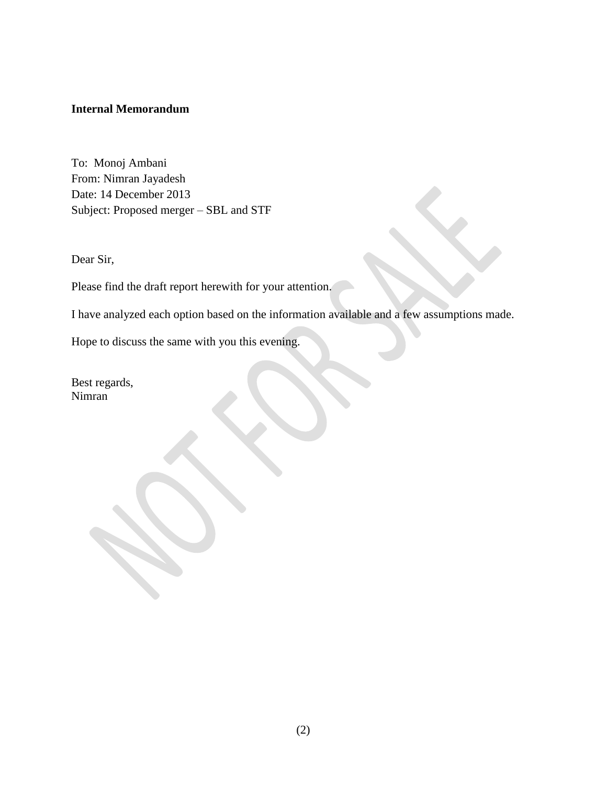#### **Internal Memorandum**

To: Monoj Ambani From: Nimran Jayadesh Date: 14 December 2013 Subject: Proposed merger – SBL and STF

Dear Sir,

Please find the draft report herewith for your attention.

I have analyzed each option based on the information available and a few assumptions made.

Hope to discuss the same with you this evening.

Best regards, Nimran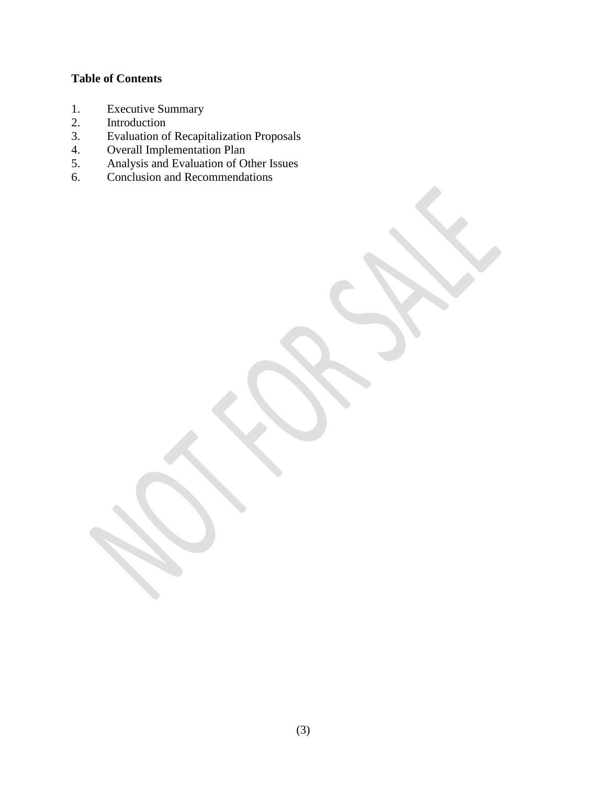# **Table of Contents**

- 1. Executive Summary
- 2. Introduction
- 3. Evaluation of Recapitalization Proposals
- 4. Overall Implementation Plan
- 5. Analysis and Evaluation of Other Issues
- 6. Conclusion and Recommendations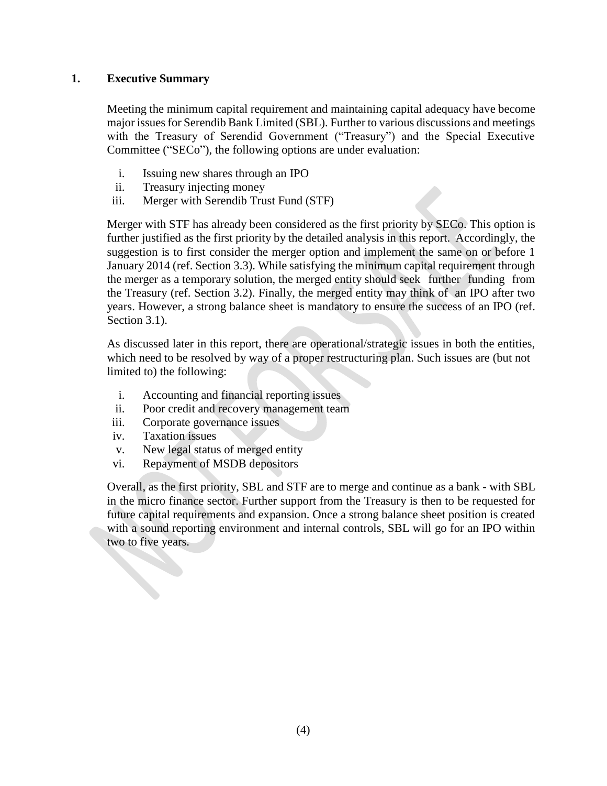# **1. Executive Summary**

Meeting the minimum capital requirement and maintaining capital adequacy have become major issues for Serendib Bank Limited (SBL). Further to various discussions and meetings with the Treasury of Serendid Government ("Treasury") and the Special Executive Committee ("SECo"), the following options are under evaluation:

- i. Issuing new shares through an IPO
- ii. Treasury injecting money
- iii. Merger with Serendib Trust Fund (STF)

Merger with STF has already been considered as the first priority by SECo. This option is further justified as the first priority by the detailed analysis in this report. Accordingly, the suggestion is to first consider the merger option and implement the same on or before 1 January 2014 (ref. Section 3.3). While satisfying the minimum capital requirement through the merger as a temporary solution, the merged entity should seek further funding from the Treasury (ref. Section 3.2). Finally, the merged entity may think of an IPO after two years. However, a strong balance sheet is mandatory to ensure the success of an IPO (ref. Section 3.1).

As discussed later in this report, there are operational/strategic issues in both the entities, which need to be resolved by way of a proper restructuring plan. Such issues are (but not limited to) the following:

- i. Accounting and financial reporting issues
- ii. Poor credit and recovery management team
- iii. Corporate governance issues
- iv. Taxation issues
- v. New legal status of merged entity
- vi. Repayment of MSDB depositors

Overall, as the first priority, SBL and STF are to merge and continue as a bank - with SBL in the micro finance sector. Further support from the Treasury is then to be requested for future capital requirements and expansion. Once a strong balance sheet position is created with a sound reporting environment and internal controls, SBL will go for an IPO within two to five years.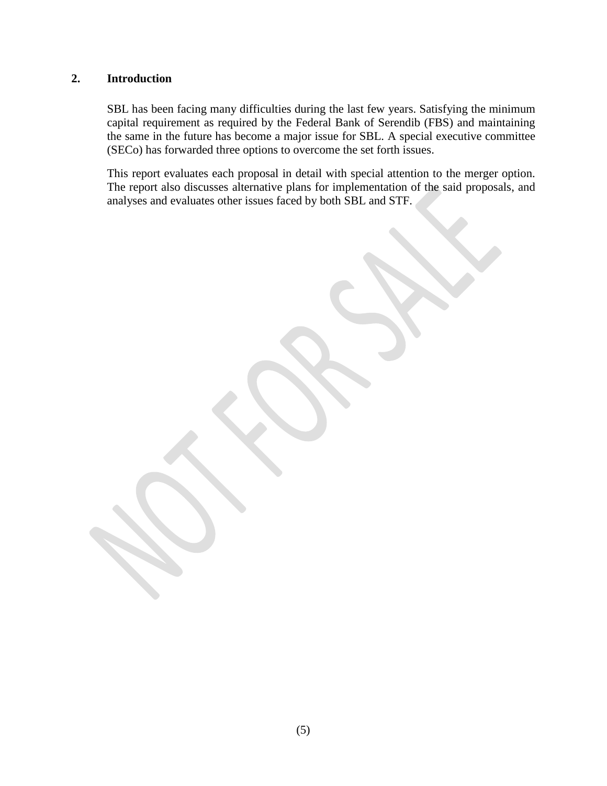# **2. Introduction**

SBL has been facing many difficulties during the last few years. Satisfying the minimum capital requirement as required by the Federal Bank of Serendib (FBS) and maintaining the same in the future has become a major issue for SBL. A special executive committee (SECo) has forwarded three options to overcome the set forth issues.

This report evaluates each proposal in detail with special attention to the merger option. The report also discusses alternative plans for implementation of the said proposals, and analyses and evaluates other issues faced by both SBL and STF.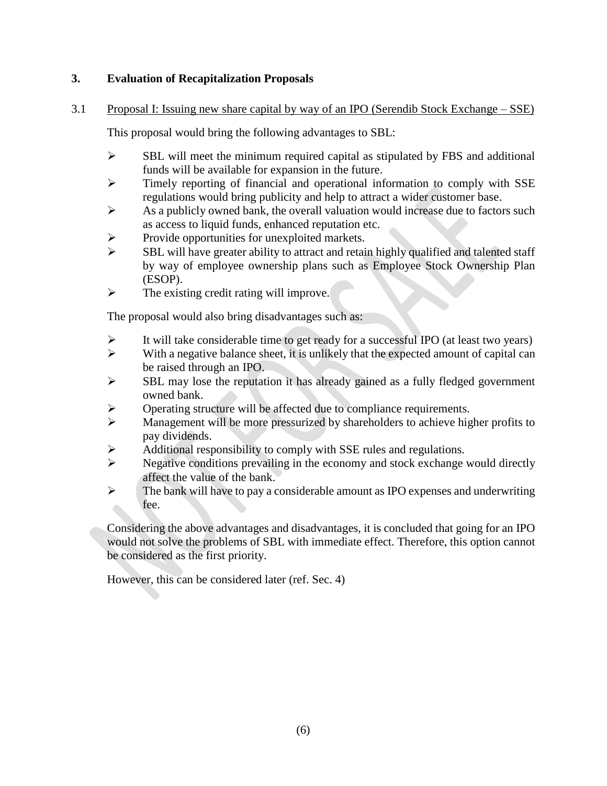# **3. Evaluation of Recapitalization Proposals**

3.1 Proposal I: Issuing new share capital by way of an IPO (Serendib Stock Exchange – SSE)

This proposal would bring the following advantages to SBL:

- $\triangleright$  SBL will meet the minimum required capital as stipulated by FBS and additional funds will be available for expansion in the future.
- Timely reporting of financial and operational information to comply with SSE regulations would bring publicity and help to attract a wider customer base.
- $\triangleright$  As a publicly owned bank, the overall valuation would increase due to factors such as access to liquid funds, enhanced reputation etc.
- $\triangleright$  Provide opportunities for unexploited markets.
- $\triangleright$  SBL will have greater ability to attract and retain highly qualified and talented staff by way of employee ownership plans such as Employee Stock Ownership Plan (ESOP).
- $\triangleright$  The existing credit rating will improve.

The proposal would also bring disadvantages such as:

- $\triangleright$  It will take considerable time to get ready for a successful IPO (at least two years)
- $\triangleright$  With a negative balance sheet, it is unlikely that the expected amount of capital can be raised through an IPO.
- $\triangleright$  SBL may lose the reputation it has already gained as a fully fledged government owned bank.
- $\triangleright$  Operating structure will be affected due to compliance requirements.
- $\triangleright$  Management will be more pressurized by shareholders to achieve higher profits to pay dividends.
- $\triangleright$  Additional responsibility to comply with SSE rules and regulations.
- $\triangleright$  Negative conditions prevailing in the economy and stock exchange would directly affect the value of the bank.
- $\triangleright$  The bank will have to pay a considerable amount as IPO expenses and underwriting fee.

Considering the above advantages and disadvantages, it is concluded that going for an IPO would not solve the problems of SBL with immediate effect. Therefore, this option cannot be considered as the first priority.

However, this can be considered later (ref. Sec. 4)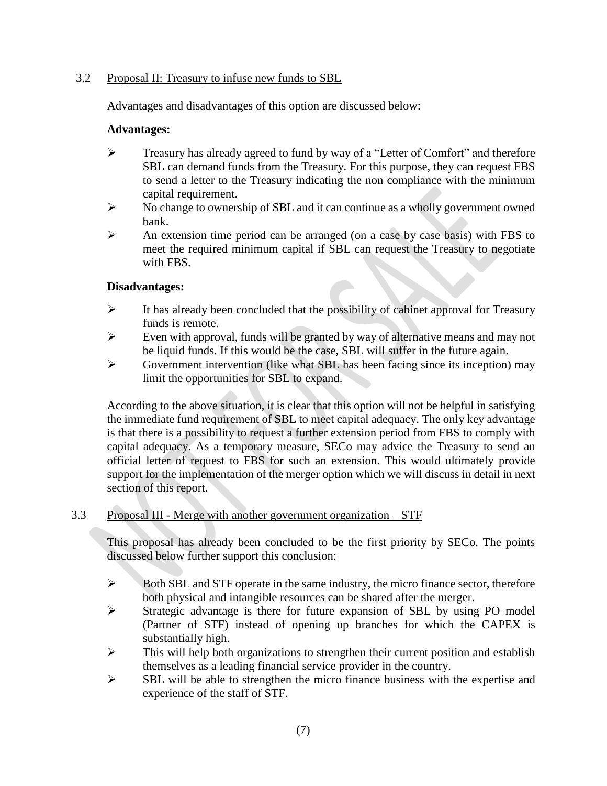# 3.2 Proposal II: Treasury to infuse new funds to SBL

Advantages and disadvantages of this option are discussed below:

#### **Advantages:**

- $\triangleright$  Treasury has already agreed to fund by way of a "Letter of Comfort" and therefore SBL can demand funds from the Treasury. For this purpose, they can request FBS to send a letter to the Treasury indicating the non compliance with the minimum capital requirement.
- $\triangleright$  No change to ownership of SBL and it can continue as a wholly government owned bank.
- $\triangleright$  An extension time period can be arranged (on a case by case basis) with FBS to meet the required minimum capital if SBL can request the Treasury to negotiate with FBS.

# **Disadvantages:**

- $\triangleright$  It has already been concluded that the possibility of cabinet approval for Treasury funds is remote.
- $\triangleright$  Even with approval, funds will be granted by way of alternative means and may not be liquid funds. If this would be the case, SBL will suffer in the future again.
- $\triangleright$  Government intervention (like what SBL has been facing since its inception) may limit the opportunities for SBL to expand.

According to the above situation, it is clear that this option will not be helpful in satisfying the immediate fund requirement of SBL to meet capital adequacy. The only key advantage is that there is a possibility to request a further extension period from FBS to comply with capital adequacy. As a temporary measure, SECo may advice the Treasury to send an official letter of request to FBS for such an extension. This would ultimately provide support for the implementation of the merger option which we will discuss in detail in next section of this report.

# 3.3 Proposal III - Merge with another government organization – STF

This proposal has already been concluded to be the first priority by SECo. The points discussed below further support this conclusion:

- $\triangleright$  Both SBL and STF operate in the same industry, the micro finance sector, therefore both physical and intangible resources can be shared after the merger.
- Strategic advantage is there for future expansion of SBL by using PO model (Partner of STF) instead of opening up branches for which the CAPEX is substantially high.
- $\triangleright$  This will help both organizations to strengthen their current position and establish themselves as a leading financial service provider in the country.
- $\triangleright$  SBL will be able to strengthen the micro finance business with the expertise and experience of the staff of STF.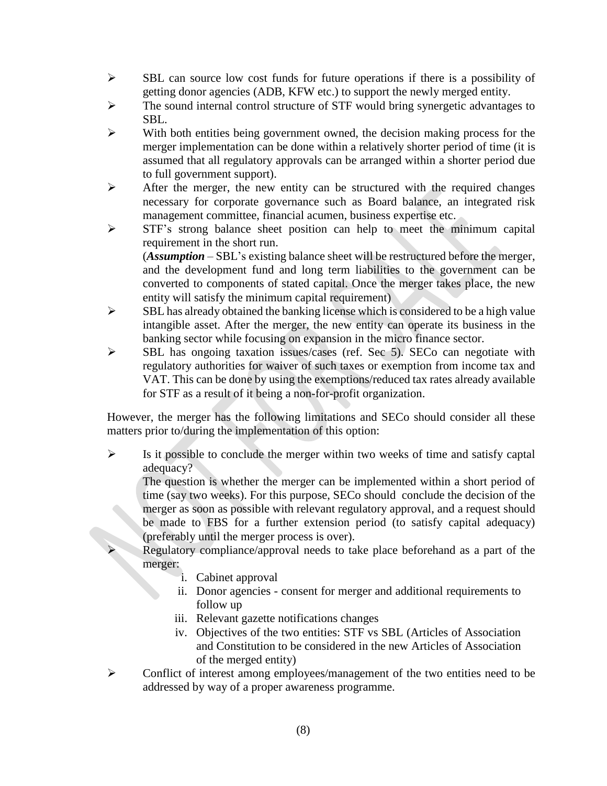- $\triangleright$  SBL can source low cost funds for future operations if there is a possibility of getting donor agencies (ADB, KFW etc.) to support the newly merged entity.
- The sound internal control structure of STF would bring synergetic advantages to SBL.
- $\triangleright$  With both entities being government owned, the decision making process for the merger implementation can be done within a relatively shorter period of time (it is assumed that all regulatory approvals can be arranged within a shorter period due to full government support).
- $\triangleright$  After the merger, the new entity can be structured with the required changes necessary for corporate governance such as Board balance, an integrated risk management committee, financial acumen, business expertise etc.
- STF's strong balance sheet position can help to meet the minimum capital requirement in the short run.

(*Assumption* – SBL's existing balance sheet will be restructured before the merger, and the development fund and long term liabilities to the government can be converted to components of stated capital. Once the merger takes place, the new entity will satisfy the minimum capital requirement)

- $\triangleright$  SBL has already obtained the banking license which is considered to be a high value intangible asset. After the merger, the new entity can operate its business in the banking sector while focusing on expansion in the micro finance sector.
- $\triangleright$  SBL has ongoing taxation issues/cases (ref. Sec 5). SECo can negotiate with regulatory authorities for waiver of such taxes or exemption from income tax and VAT. This can be done by using the exemptions/reduced tax rates already available for STF as a result of it being a non-for-profit organization.

However, the merger has the following limitations and SECo should consider all these matters prior to/during the implementation of this option:

 $\triangleright$  Is it possible to conclude the merger within two weeks of time and satisfy captal adequacy?

The question is whether the merger can be implemented within a short period of time (say two weeks). For this purpose, SECo should conclude the decision of the merger as soon as possible with relevant regulatory approval, and a request should be made to FBS for a further extension period (to satisfy capital adequacy) (preferably until the merger process is over).

 Regulatory compliance/approval needs to take place beforehand as a part of the merger:

- i. Cabinet approval
- ii. Donor agencies consent for merger and additional requirements to follow up
- iii. Relevant gazette notifications changes
- iv. Objectives of the two entities: STF vs SBL (Articles of Association and Constitution to be considered in the new Articles of Association of the merged entity)
- Conflict of interest among employees/management of the two entities need to be addressed by way of a proper awareness programme.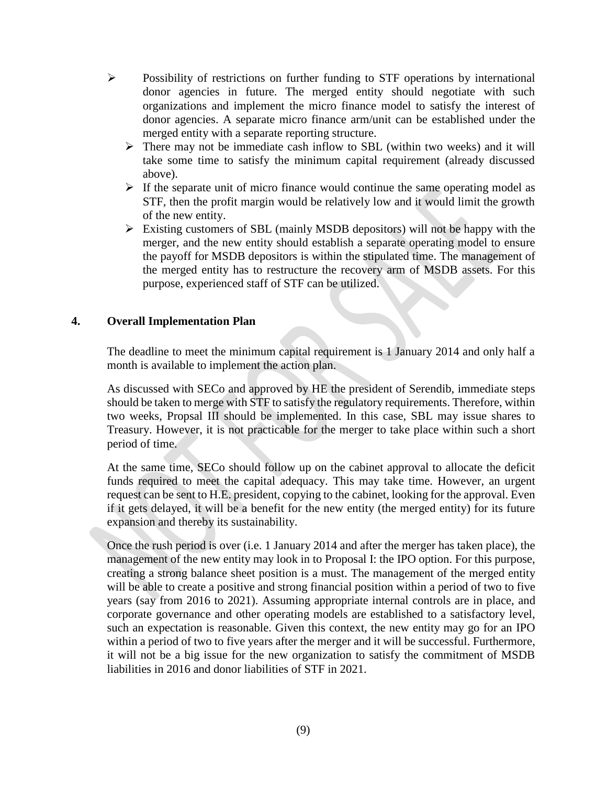- Possibility of restrictions on further funding to STF operations by international donor agencies in future. The merged entity should negotiate with such organizations and implement the micro finance model to satisfy the interest of donor agencies. A separate micro finance arm/unit can be established under the merged entity with a separate reporting structure.
	- $\triangleright$  There may not be immediate cash inflow to SBL (within two weeks) and it will take some time to satisfy the minimum capital requirement (already discussed above).
	- $\triangleright$  If the separate unit of micro finance would continue the same operating model as STF, then the profit margin would be relatively low and it would limit the growth of the new entity.
	- $\triangleright$  Existing customers of SBL (mainly MSDB depositors) will not be happy with the merger, and the new entity should establish a separate operating model to ensure the payoff for MSDB depositors is within the stipulated time. The management of the merged entity has to restructure the recovery arm of MSDB assets. For this purpose, experienced staff of STF can be utilized.

# **4. Overall Implementation Plan**

The deadline to meet the minimum capital requirement is 1 January 2014 and only half a month is available to implement the action plan.

As discussed with SECo and approved by HE the president of Serendib, immediate steps should be taken to merge with STF to satisfy the regulatory requirements. Therefore, within two weeks, Propsal III should be implemented. In this case, SBL may issue shares to Treasury. However, it is not practicable for the merger to take place within such a short period of time.

At the same time, SECo should follow up on the cabinet approval to allocate the deficit funds required to meet the capital adequacy. This may take time. However, an urgent request can be sent to H.E. president, copying to the cabinet, looking for the approval. Even if it gets delayed, it will be a benefit for the new entity (the merged entity) for its future expansion and thereby its sustainability.

Once the rush period is over (i.e. 1 January 2014 and after the merger has taken place), the management of the new entity may look in to Proposal I: the IPO option. For this purpose, creating a strong balance sheet position is a must. The management of the merged entity will be able to create a positive and strong financial position within a period of two to five years (say from 2016 to 2021). Assuming appropriate internal controls are in place, and corporate governance and other operating models are established to a satisfactory level, such an expectation is reasonable. Given this context, the new entity may go for an IPO within a period of two to five years after the merger and it will be successful. Furthermore, it will not be a big issue for the new organization to satisfy the commitment of MSDB liabilities in 2016 and donor liabilities of STF in 2021.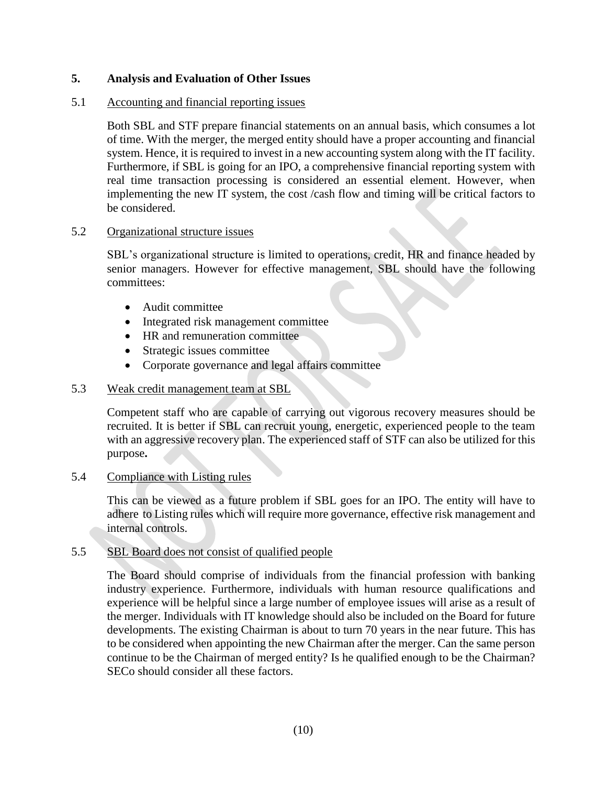# **5. Analysis and Evaluation of Other Issues**

#### 5.1 Accounting and financial reporting issues

Both SBL and STF prepare financial statements on an annual basis, which consumes a lot of time. With the merger, the merged entity should have a proper accounting and financial system. Hence, it is required to invest in a new accounting system along with the IT facility. Furthermore, if SBL is going for an IPO, a comprehensive financial reporting system with real time transaction processing is considered an essential element. However, when implementing the new IT system, the cost /cash flow and timing will be critical factors to be considered.

#### 5.2 Organizational structure issues

SBL's organizational structure is limited to operations, credit, HR and finance headed by senior managers. However for effective management, SBL should have the following committees:

- Audit committee
- Integrated risk management committee
- HR and remuneration committee
- Strategic issues committee
- Corporate governance and legal affairs committee

# 5.3 Weak credit management team at SBL

Competent staff who are capable of carrying out vigorous recovery measures should be recruited. It is better if SBL can recruit young, energetic, experienced people to the team with an aggressive recovery plan. The experienced staff of STF can also be utilized for this purpose**.**

#### 5.4 Compliance with Listing rules

This can be viewed as a future problem if SBL goes for an IPO. The entity will have to adhere to Listing rules which will require more governance, effective risk management and internal controls.

#### 5.5 SBL Board does not consist of qualified people

The Board should comprise of individuals from the financial profession with banking industry experience. Furthermore, individuals with human resource qualifications and experience will be helpful since a large number of employee issues will arise as a result of the merger. Individuals with IT knowledge should also be included on the Board for future developments. The existing Chairman is about to turn 70 years in the near future. This has to be considered when appointing the new Chairman after the merger. Can the same person continue to be the Chairman of merged entity? Is he qualified enough to be the Chairman? SECo should consider all these factors.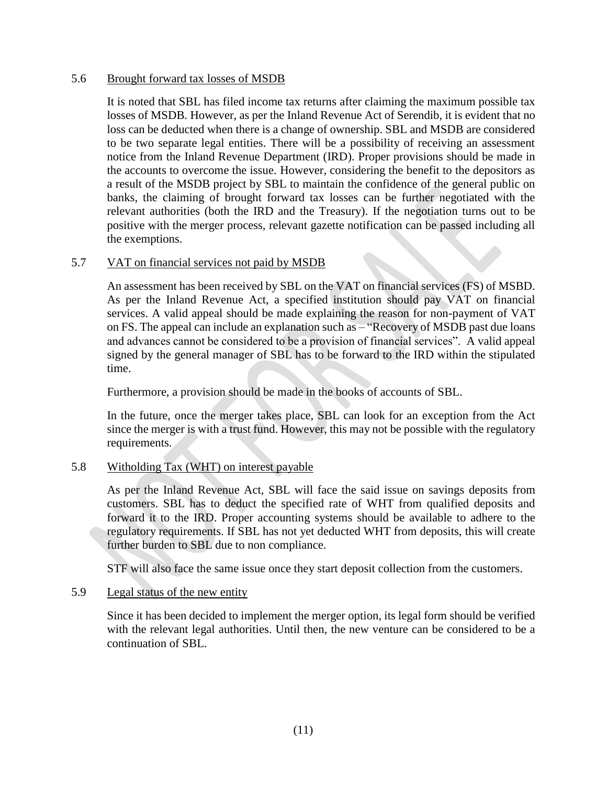#### 5.6 Brought forward tax losses of MSDB

It is noted that SBL has filed income tax returns after claiming the maximum possible tax losses of MSDB. However, as per the Inland Revenue Act of Serendib, it is evident that no loss can be deducted when there is a change of ownership. SBL and MSDB are considered to be two separate legal entities. There will be a possibility of receiving an assessment notice from the Inland Revenue Department (IRD). Proper provisions should be made in the accounts to overcome the issue. However, considering the benefit to the depositors as a result of the MSDB project by SBL to maintain the confidence of the general public on banks, the claiming of brought forward tax losses can be further negotiated with the relevant authorities (both the IRD and the Treasury). If the negotiation turns out to be positive with the merger process, relevant gazette notification can be passed including all the exemptions.

#### 5.7 VAT on financial services not paid by MSDB

An assessment has been received by SBL on the VAT on financial services (FS) of MSBD. As per the Inland Revenue Act, a specified institution should pay VAT on financial services. A valid appeal should be made explaining the reason for non-payment of VAT on FS. The appeal can include an explanation such as – "Recovery of MSDB past due loans and advances cannot be considered to be a provision of financial services". A valid appeal signed by the general manager of SBL has to be forward to the IRD within the stipulated time.

Furthermore, a provision should be made in the books of accounts of SBL.

In the future, once the merger takes place, SBL can look for an exception from the Act since the merger is with a trust fund. However, this may not be possible with the regulatory requirements.

#### 5.8 Witholding Tax (WHT) on interest payable

As per the Inland Revenue Act, SBL will face the said issue on savings deposits from customers. SBL has to deduct the specified rate of WHT from qualified deposits and forward it to the IRD. Proper accounting systems should be available to adhere to the regulatory requirements. If SBL has not yet deducted WHT from deposits, this will create further burden to SBL due to non compliance.

STF will also face the same issue once they start deposit collection from the customers.

#### 5.9 Legal status of the new entity

Since it has been decided to implement the merger option, its legal form should be verified with the relevant legal authorities. Until then, the new venture can be considered to be a continuation of SBL.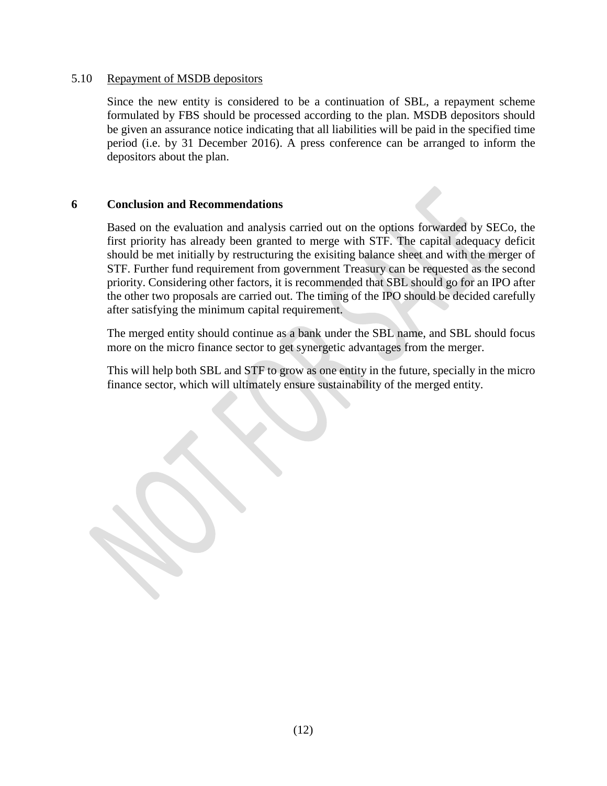#### 5.10 Repayment of MSDB depositors

Since the new entity is considered to be a continuation of SBL, a repayment scheme formulated by FBS should be processed according to the plan. MSDB depositors should be given an assurance notice indicating that all liabilities will be paid in the specified time period (i.e. by 31 December 2016). A press conference can be arranged to inform the depositors about the plan.

#### **6 Conclusion and Recommendations**

Based on the evaluation and analysis carried out on the options forwarded by SECo, the first priority has already been granted to merge with STF. The capital adequacy deficit should be met initially by restructuring the exisiting balance sheet and with the merger of STF. Further fund requirement from government Treasury can be requested as the second priority. Considering other factors, it is recommended that SBL should go for an IPO after the other two proposals are carried out. The timing of the IPO should be decided carefully after satisfying the minimum capital requirement.

The merged entity should continue as a bank under the SBL name, and SBL should focus more on the micro finance sector to get synergetic advantages from the merger.

This will help both SBL and STF to grow as one entity in the future, specially in the micro finance sector, which will ultimately ensure sustainability of the merged entity.